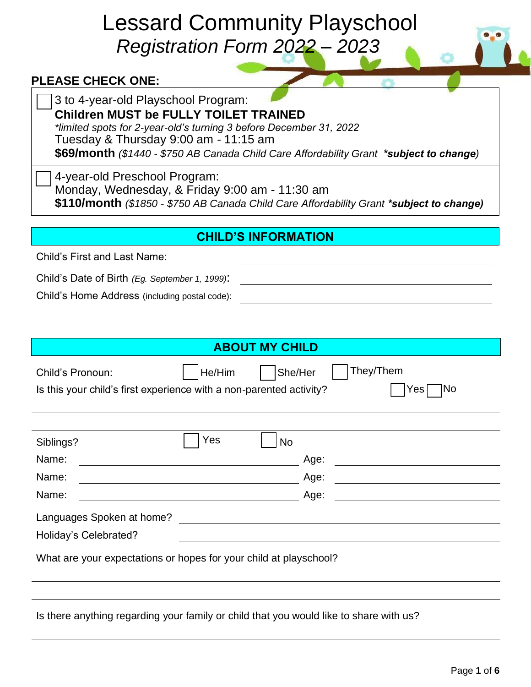# Lessard Community Playschool *Registration Form 2022 – 2023*

## **PLEASE CHECK ONE:**

#### **Children MUST be FULLY TOILET TRAINED**

*\*limited spots for 2-year-old's turning 3 before December 31, 2022* Tuesday & Thursday 9:00 am - 11:15 am

**\$69/month** *(\$1440 - \$750 AB Canada Child Care Affordability Grant \*subject to change)*

4-year-old Preschool Program:

Monday, Wednesday, & Friday 9:00 am - 11:30 am

**\$110/month** *(\$1850 - \$750 AB Canada Child Care Affordability Grant \*subject to change)*

# **CHILD'S INFORMATION**

Child's First and Last Name:

Child's Date of Birth *(Eg. September 1, 1999)*:

Child's Home Address (including postal code):

|                                                                                        |        | <b>ABOUT MY CHILD</b> |                                               |                                                            |
|----------------------------------------------------------------------------------------|--------|-----------------------|-----------------------------------------------|------------------------------------------------------------|
| Child's Pronoun:                                                                       | He/Him | She/Her               | They/Them                                     |                                                            |
| Is this your child's first experience with a non-parented activity?                    |        |                       |                                               | No<br>Yes                                                  |
|                                                                                        |        |                       |                                               |                                                            |
|                                                                                        |        |                       |                                               |                                                            |
| Siblings?                                                                              | Yes    | <b>No</b>             |                                               |                                                            |
| Name:                                                                                  |        |                       | Age:                                          |                                                            |
| Name:                                                                                  |        |                       | Age:                                          |                                                            |
| Name:                                                                                  |        |                       | Age:                                          | <u> 1989 - Johann John Stein, fransk politik (f. 1989)</u> |
| Languages Spoken at home?                                                              |        |                       | <u> 1980 - Andrea Andrew Maria (h. 1980).</u> |                                                            |
| Holiday's Celebrated?                                                                  |        |                       |                                               |                                                            |
| What are your expectations or hopes for your child at playschool?                      |        |                       |                                               |                                                            |
|                                                                                        |        |                       |                                               |                                                            |
|                                                                                        |        |                       |                                               |                                                            |
| Is there anything regarding your family or child that you would like to share with us? |        |                       |                                               |                                                            |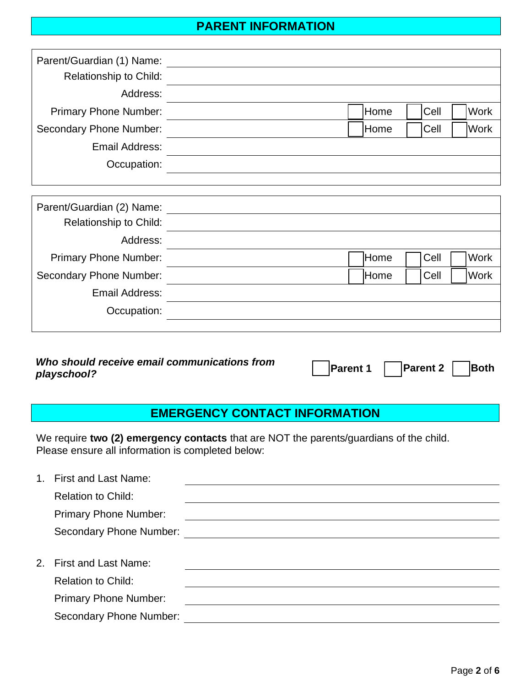### **PARENT INFORMATION**

| Parent/Guardian (1) Name:     |                              |
|-------------------------------|------------------------------|
| Relationship to Child:        |                              |
| Address:                      |                              |
| <b>Primary Phone Number:</b>  | Home<br><b>Work</b><br> Cell |
| Secondary Phone Number:       | Work<br>Home<br><b>Cell</b>  |
| Email Address:                |                              |
| Occupation:                   |                              |
|                               |                              |
| Parent/Guardian (2) Name:     |                              |
| <b>Relationship to Child:</b> |                              |
| Address:                      |                              |

| AUULESS.                     |      |      |             |
|------------------------------|------|------|-------------|
| <b>Primary Phone Number:</b> | Home | Cell | <b>Work</b> |
| Secondary Phone Number:      | Home | Cell | Work        |
| Email Address:               |      |      |             |
| Occupation:                  |      |      |             |
|                              |      |      |             |

| Who should receive email communications from | <b>Parent 1</b> Parent 2 | Both |
|----------------------------------------------|--------------------------|------|
| playschool?                                  |                          |      |

# **EMERGENCY CONTACT INFORMATION**

We require **two (2) emergency contacts** that are NOT the parents/guardians of the child. Please ensure all information is completed below:

| $1 -$ | <b>First and Last Name:</b>  |  |
|-------|------------------------------|--|
|       | <b>Relation to Child:</b>    |  |
|       | <b>Primary Phone Number:</b> |  |
|       | Secondary Phone Number:      |  |
|       |                              |  |
|       | 2. First and Last Name:      |  |
|       | <b>Relation to Child:</b>    |  |
|       | <b>Primary Phone Number:</b> |  |
|       | Secondary Phone Number:      |  |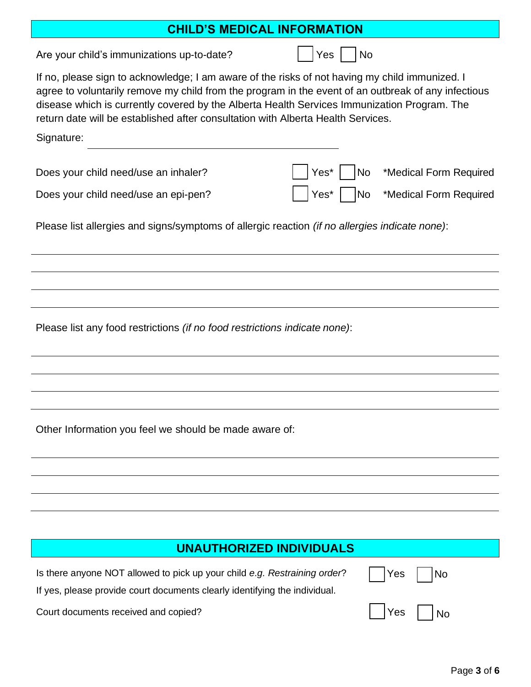#### **CHILD'S MEDICAL INFORMATION**

Are your child's immunizations up-to-date?  $|$  | Yes | | No

Signature:

If no, please sign to acknowledge; I am aware of the risks of not having my child immunized. I agree to voluntarily remove my child from the program in the event of an outbreak of any infectious disease which is currently covered by the Alberta Health Services Immunization Program. The return date will be established after consultation with Alberta Health Services.

| olynatur <del>o</del> .              |                                    |
|--------------------------------------|------------------------------------|
| Does your child need/use an inhaler? | Yes*     No *Medical Form Required |
| Does your child need/use an epi-pen? | │ Yes* No *Medical Form Required   |

Please list allergies and signs/symptoms of allergic reaction *(if no allergies indicate none)*:

Please list any food restrictions *(if no food restrictions indicate none)*:

Other Information you feel we should be made aware of:

#### **UNAUTHORIZED INDIVIDUALS**

Is there anyone NOT allowed to pick up your child *e.g. Restraining order*?

If yes, please provide court documents clearly identifying the individual.

Court documents received and copied? The Court documents received and copied?

|  | √≏ | ง∩ |  |
|--|----|----|--|
|  |    |    |  |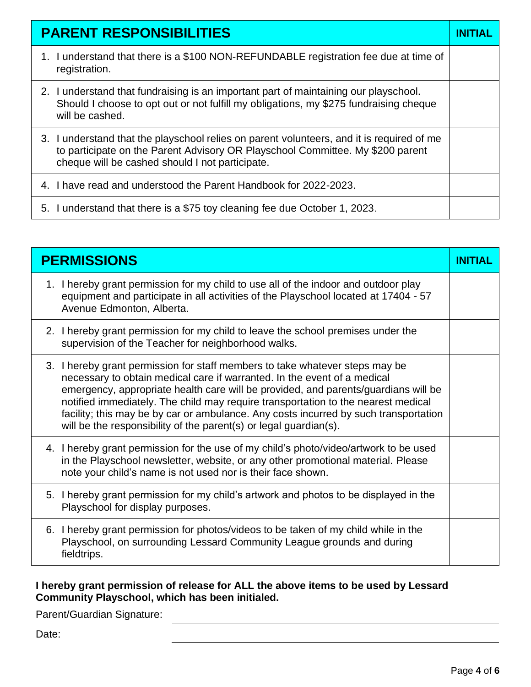| <b>PARENT RESPONSIBILITIES</b>                                                                                                                                                                                                 |  |
|--------------------------------------------------------------------------------------------------------------------------------------------------------------------------------------------------------------------------------|--|
| 1. I understand that there is a \$100 NON-REFUNDABLE registration fee due at time of<br>registration.                                                                                                                          |  |
| 2. I understand that fundraising is an important part of maintaining our playschool.<br>Should I choose to opt out or not fulfill my obligations, my \$275 fundraising cheque<br>will be cashed.                               |  |
| 3. I understand that the playschool relies on parent volunteers, and it is required of me<br>to participate on the Parent Advisory OR Playschool Committee. My \$200 parent<br>cheque will be cashed should I not participate. |  |
| 4. I have read and understood the Parent Handbook for 2022-2023.                                                                                                                                                               |  |
| 5. I understand that there is a \$75 toy cleaning fee due October 1, 2023.                                                                                                                                                     |  |

| <b>PERMISSIONS</b>                                                                                                                                                                                                                                                                                                                                                                                                                                                                               | <b>INITIAL</b> |
|--------------------------------------------------------------------------------------------------------------------------------------------------------------------------------------------------------------------------------------------------------------------------------------------------------------------------------------------------------------------------------------------------------------------------------------------------------------------------------------------------|----------------|
| 1. I hereby grant permission for my child to use all of the indoor and outdoor play<br>equipment and participate in all activities of the Playschool located at 17404 - 57<br>Avenue Edmonton, Alberta.                                                                                                                                                                                                                                                                                          |                |
| 2. I hereby grant permission for my child to leave the school premises under the<br>supervision of the Teacher for neighborhood walks.                                                                                                                                                                                                                                                                                                                                                           |                |
| 3. I hereby grant permission for staff members to take whatever steps may be<br>necessary to obtain medical care if warranted. In the event of a medical<br>emergency, appropriate health care will be provided, and parents/guardians will be<br>notified immediately. The child may require transportation to the nearest medical<br>facility; this may be by car or ambulance. Any costs incurred by such transportation<br>will be the responsibility of the parent(s) or legal guardian(s). |                |
| 4. I hereby grant permission for the use of my child's photo/video/artwork to be used<br>in the Playschool newsletter, website, or any other promotional material. Please<br>note your child's name is not used nor is their face shown.                                                                                                                                                                                                                                                         |                |
| 5. I hereby grant permission for my child's artwork and photos to be displayed in the<br>Playschool for display purposes.                                                                                                                                                                                                                                                                                                                                                                        |                |
| 6. I hereby grant permission for photos/videos to be taken of my child while in the<br>Playschool, on surrounding Lessard Community League grounds and during<br>fieldtrips.                                                                                                                                                                                                                                                                                                                     |                |

#### **I hereby grant permission of release for ALL the above items to be used by Lessard Community Playschool, which has been initialed.**

Parent/Guardian Signature:

Date: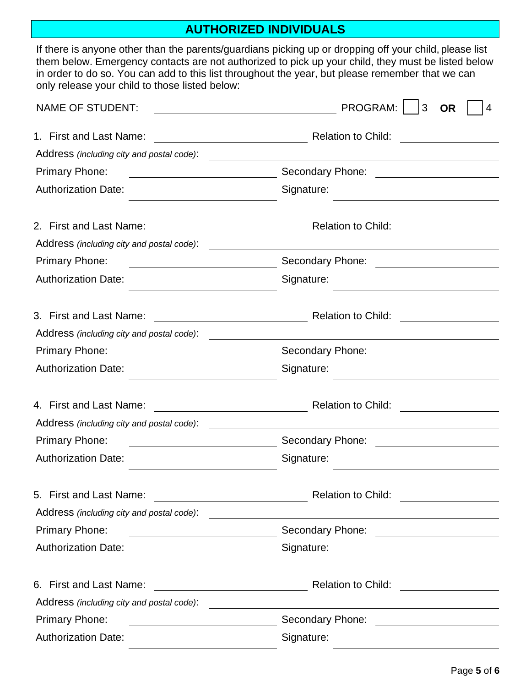# **AUTHORIZED INDIVIDUALS**

| them below. Emergency contacts are not authorized to pick up your child, they must be listed below<br>in order to do so. You can add to this list throughout the year, but please remember that we can<br>only release your child to those listed below: |   |
|----------------------------------------------------------------------------------------------------------------------------------------------------------------------------------------------------------------------------------------------------------|---|
| PROGRAM:<br>3<br><b>NAME OF STUDENT:</b><br><b>OR</b>                                                                                                                                                                                                    | 4 |
| 1. First and Last Name:<br><b>Relation to Child:</b>                                                                                                                                                                                                     |   |
| Address (including city and postal code):<br><u> Andreas Andreas Andreas Andreas Andreas Andreas Andreas Andreas Andreas Andreas Andreas Andreas Andreas Andr</u>                                                                                        |   |
| Secondary Phone:<br><b>Primary Phone:</b><br><u> 1980 - Johann Barbara, martxa amerikan per</u><br><u> 1980 - Jan Barat, prima a</u>                                                                                                                     |   |
| <b>Authorization Date:</b><br>Signature:                                                                                                                                                                                                                 |   |
| 2. First and Last Name:<br><b>Relation to Child:</b><br><u> 1980 - Johann Barbara, martxa amerikan per</u>                                                                                                                                               |   |
| Address (including city and postal code):                                                                                                                                                                                                                |   |
| Secondary Phone:<br><b>Primary Phone:</b>                                                                                                                                                                                                                |   |
| <b>Authorization Date:</b><br>Signature:                                                                                                                                                                                                                 |   |
| 3. First and Last Name:<br><b>Relation to Child:</b>                                                                                                                                                                                                     |   |
| Address (including city and postal code):                                                                                                                                                                                                                |   |
| <b>Primary Phone:</b><br>Secondary Phone:                                                                                                                                                                                                                |   |
| <b>Authorization Date:</b><br>Signature:                                                                                                                                                                                                                 |   |
| 4. First and Last Name:<br><u> 1989 - Johann Stoff, fransk politik (</u><br><b>Relation to Child:</b>                                                                                                                                                    |   |
| Address (including city and postal code):                                                                                                                                                                                                                |   |
| <b>Primary Phone:</b>                                                                                                                                                                                                                                    |   |
| <b>Authorization Date:</b><br>Signature:                                                                                                                                                                                                                 |   |
| 5. First and Last Name:<br><b>Relation to Child:</b><br><u> 1989 - Jan Barbara Barat, prima popular popular popular popular popular popular popular popular popular popu</u>                                                                             |   |
| Address (including city and postal code):                                                                                                                                                                                                                |   |
| <b>Primary Phone:</b>                                                                                                                                                                                                                                    |   |
| <b>Authorization Date:</b><br>Signature:                                                                                                                                                                                                                 |   |
| 6. First and Last Name:<br>Relation to Child: <u>_______________</u><br><u> 1980 - Johann Barbara, martin d</u>                                                                                                                                          |   |
| Address (including city and postal code):                                                                                                                                                                                                                |   |
| Secondary Phone:<br><b>Primary Phone:</b><br><u> 1980 - Jan Samuel Barbara, politik eta politik eta politik eta politik eta politik eta politik eta politik e</u>                                                                                        |   |
| <b>Authorization Date:</b><br>Signature:                                                                                                                                                                                                                 |   |